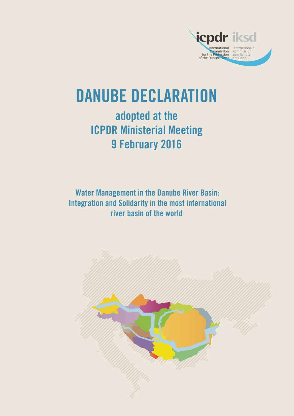

# **DANUBE DECLARATION**

## adopted at the **ICPDR Ministerial Meeting** 9 February 2016

**Water Management in the Danube River Basin: Integration and Solidarity in the most international** river basin of the world

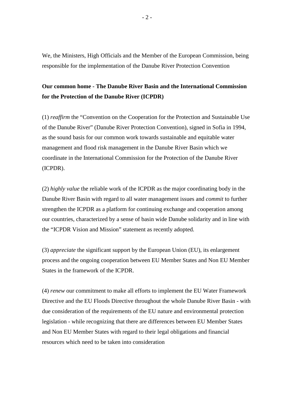We, the Ministers, High Officials and the Member of the European Commission, being responsible for the implementation of the Danube River Protection Convention

### **Our common home - The Danube River Basin and the International Commission for the Protection of the Danube River (ICPDR)**

(1) *reaffirm* the "Convention on the Cooperation for the Protection and Sustainable Use of the Danube River" (Danube River Protection Convention), signed in Sofia in 1994, as the sound basis for our common work towards sustainable and equitable water management and flood risk management in the Danube River Basin which we coordinate in the International Commission for the Protection of the Danube River (ICPDR).

(2) *highly value* the reliable work of the ICPDR as the major coordinating body in the Danube River Basin with regard to all water management issues and *commit* to further strengthen the ICPDR as a platform for continuing exchange and cooperation among our countries, characterized by a sense of basin wide Danube solidarity and in line with the "ICPDR Vision and Mission" statement as recently adopted.

(3) *appreciate* the significant support by the European Union (EU), its enlargement process and the ongoing cooperation between EU Member States and Non EU Member States in the framework of the ICPDR.

(4) *renew* our commitment to make all efforts to implement the EU Water Framework Directive and the EU Floods Directive throughout the whole Danube River Basin - with due consideration of the requirements of the EU nature and environmental protection legislation - while recognizing that there are differences between EU Member States and Non EU Member States with regard to their legal obligations and financial resources which need to be taken into consideration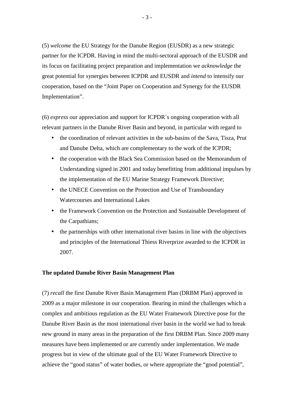(5) *welcome* the EU Strategy for the Danube Region (EUSDR) as a new strategic partner for the ICPDR. Having in mind the multi-sectoral approach of the EUSDR and its focus on facilitating project preparation and implementation we *acknowledge* the great potential for synergies between ICPDR and EUSDR and *intend* to intensify our cooperation, based on the "Joint Paper on Cooperation and Synergy for the EUSDR Implementation".

(6) *express* our appreciation and support for ICPDR´s ongoing cooperation with all relevant partners in the Danube River Basin and beyond, in particular with regard to

- the coordination of relevant activities in the sub-basins of the Sava, Tisza, Prut and Danube Delta, which are complementary to the work of the ICPDR;
- the cooperation with the Black Sea Commission based on the Memorandum of Understanding signed in 2001 and today benefitting from additional impulses by the implementation of the EU Marine Strategy Framework Directive;
- the UNECE Convention on the Protection and Use of Transboundary Watercourses and International Lakes
- the Framework Convention on the Protection and Sustainable Development of the Carpathians;
- the partnerships with other international river basins in line with the objectives and principles of the International Thiess Riverprize awarded to the ICPDR in 2007.

#### **The updated Danube River Basin Management Plan**

(7) *recall* the first Danube River Basin Management Plan (DRBM Plan) approved in 2009 as a major milestone in our cooperation. Bearing in mind the challenges which a complex and ambitious regulation as the EU Water Framework Directive pose for the Danube River Basin as the most international river basin in the world we had to break new ground in many areas in the preparation of the first DRBM Plan. Since 2009 many measures have been implemented or are currently under implementation. We made progress but in view of the ultimate goal of the EU Water Framework Directive to achieve the "good status" of water bodies, or where appropriate the "good potential",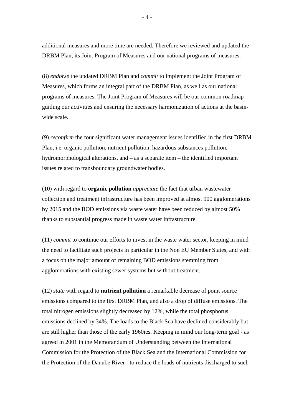additional measures and more time are needed. Therefore we reviewed and updated the DRBM Plan, its Joint Program of Measures and our national programs of measures.

(8) *endorse* the updated DRBM Plan and *commit* to implement the Joint Program of Measures, which forms an integral part of the DRBM Plan, as well as our national programs of measures. The Joint Program of Measures will be our common roadmap guiding our activities and ensuring the necessary harmonization of actions at the basinwide scale.

(9) *reconfirm* the four significant water management issues identified in the first DRBM Plan, i.e. organic pollution, nutrient pollution, hazardous substances pollution, hydromorphological alterations, and – as a separate item – the identified important issues related to transboundary groundwater bodies.

(10) with regard to **organic pollution** *appreciate* the fact that urban wastewater collection and treatment infrastructure has been improved at almost 900 agglomerations by 2015 and the BOD emissions via waste water have been reduced by almost 50% thanks to substantial progress made in waste water infrastructure.

(11) *commit* to continue our efforts to invest in the waste water sector, keeping in mind the need to facilitate such projects in particular in the Non EU Member States, and with a focus on the major amount of remaining BOD emissions stemming from agglomerations with existing sewer systems but without treatment.

(12) *state* with regard to **nutrient pollution** a remarkable decrease of point source emissions compared to the first DRBM Plan, and also a drop of diffuse emissions. The total nitrogen emissions slightly decreased by 12%, while the total phosphorus emissions declined by 34%. The loads to the Black Sea have declined considerably but are still higher than those of the early 1960ies. Keeping in mind our long-term goal - as agreed in 2001 in the Memorandum of Understanding between the International Commission for the Protection of the Black Sea and the International Commission for the Protection of the Danube River - to reduce the loads of nutrients discharged to such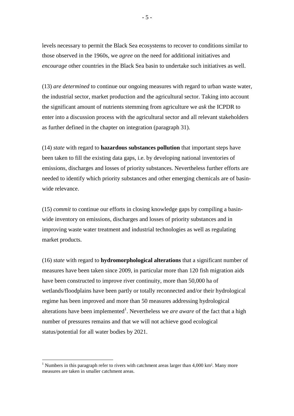levels necessary to permit the Black Sea ecosystems to recover to conditions similar to those observed in the 1960s, we *agree* on the need for additional initiatives and *encourage* other countries in the Black Sea basin to undertake such initiatives as well.

(13) *are determined* to continue our ongoing measures with regard to urban waste water, the industrial sector, market production and the agricultural sector. Taking into account the significant amount of nutrients stemming from agriculture we *ask* the ICPDR to enter into a discussion process with the agricultural sector and all relevant stakeholders as further defined in the chapter on integration (paragraph 31).

(14) *state* with regard to **hazardous substances pollution** that important steps have been taken to fill the existing data gaps, i.e. by developing national inventories of emissions, discharges and losses of priority substances. Nevertheless further efforts are needed to identify which priority substances and other emerging chemicals are of basinwide relevance.

(15) *commit* to continue our efforts in closing knowledge gaps by compiling a basinwide inventory on emissions, discharges and losses of priority substances and in improving waste water treatment and industrial technologies as well as regulating market products.

(16) *state* with regard to **hydromorphological alterations** that a significant number of measures have been taken since 2009, in particular more than 120 fish migration aids have been constructed to improve river continuity, more than 50,000 ha of wetlands/floodplains have been partly or totally reconnected and/or their hydrological regime has been improved and more than 50 measures addressing hydrological alterations have been implemented<sup>1</sup>. Nevertheless we *are aware* of the fact that a high number of pressures remains and that we will not achieve good ecological status/potential for all water bodies by 2021.

 $\overline{a}$ 

<sup>&</sup>lt;sup>1</sup> Numbers in this paragraph refer to rivers with catchment areas larger than  $4,000$  km<sup>2</sup>. Many more measures are taken in smaller catchment areas.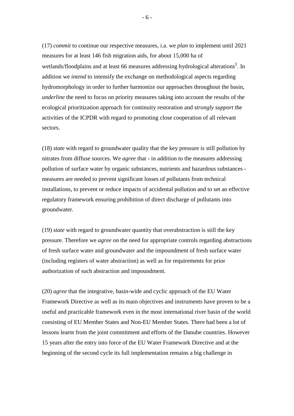(17) *commit* to continue our respective measures, i.a. we *plan* to implement until 2021 measures for at least 146 fish migration aids, for about 15,000 ha of wetlands/floodplains and at least 66 measures addressing hydrological alterations<sup>1</sup>. In addition we *intend* to intensify the exchange on methodological aspects regarding hydromorphology in order to further harmonize our approaches throughout the basin, *underline* the need to focus on priority measures taking into account the results of the ecological prioritization approach for continuity restoration and *strongly support* the activities of the ICPDR with regard to promoting close cooperation of all relevant sectors.

(18) *state* with regard to groundwater quality that the key pressure is still pollution by nitrates from diffuse sources. We *agree* that - in addition to the measures addressing pollution of surface water by organic substances, nutrients and hazardous substances measures are needed to prevent significant losses of pollutants from technical installations, to prevent or reduce impacts of accidental pollution and to set an effective regulatory framework ensuring prohibition of direct discharge of pollutants into groundwater.

(19) *state* with regard to groundwater quantity that overabstraction is still the key pressure. Therefore we *agree* on the need for appropriate controls regarding abstractions of fresh surface water and groundwater and the impoundment of fresh surface water (including registers of water abstraction) as well as for requirements for prior authorization of such abstraction and impoundment.

(20) *agree* that the integrative, basin-wide and cyclic approach of the EU Water Framework Directive as well as its main objectives and instruments have proven to be a useful and practicable framework even in the most international river basin of the world consisting of EU Member States and Non-EU Member States. There had been a lot of lessons learnt from the joint commitment and efforts of the Danube countries. However 15 years after the entry into force of the EU Water Framework Directive and at the beginning of the second cycle its full implementation remains a big challenge in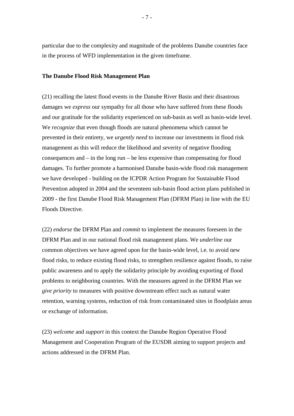particular due to the complexity and magnitude of the problems Danube countries face in the process of WFD implementation in the given timeframe.

#### **The Danube Flood Risk Management Plan**

(21) recalling the latest flood events in the Danube River Basin and their disastrous damages we *express* our sympathy for all those who have suffered from these floods and our gratitude for the solidarity experienced on sub-basin as well as basin-wide level. We *recognize* that even though floods are natural phenomena which cannot be prevented in their entirety, we *urgently need* to increase our investments in flood risk management as this will reduce the likelihood and severity of negative flooding consequences and – in the long run – be less expensive than compensating for flood damages. To further promote a harmonised Danube basin-wide flood risk management we have developed - building on the ICPDR Action Program for Sustainable Flood Prevention adopted in 2004 and the seventeen sub-basin flood action plans published in 2009 - the first Danube Flood Risk Management Plan (DFRM Plan) in line with the EU Floods Directive.

(22) *endorse* the DFRM Plan and *commit* to implement the measures foreseen in the DFRM Plan and in our national flood risk management plans. We *underline* our common objectives we have agreed upon for the basin-wide level, i.e. to avoid new flood risks, to reduce existing flood risks, to strengthen resilience against floods, to raise public awareness and to apply the solidarity principle by avoiding exporting of flood problems to neighboring countries. With the measures agreed in the DFRM Plan we *give priority* to measures with positive downstream effect such as natural water retention, warning systems, reduction of risk from contaminated sites in floodplain areas or exchange of information.

(23) *welcome* and *support* in this context the Danube Region Operative Flood Management and Cooperation Program of the EUSDR aiming to support projects and actions addressed in the DFRM Plan.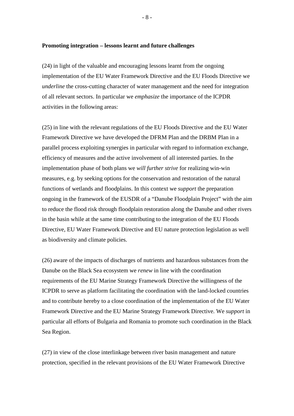#### **Promoting integration – lessons learnt and future challenges**

(24) in light of the valuable and encouraging lessons learnt from the ongoing implementation of the EU Water Framework Directive and the EU Floods Directive we *underline* the cross-cutting character of water management and the need for integration of all relevant sectors. In particular we *emphasize* the importance of the ICPDR activities in the following areas:

(25) in line with the relevant regulations of the EU Floods Directive and the EU Water Framework Directive we have developed the DFRM Plan and the DRBM Plan in a parallel process exploiting synergies in particular with regard to information exchange, efficiency of measures and the active involvement of all interested parties. In the implementation phase of both plans we *will further strive* for realizing win-win measures, e.g. by seeking options for the conservation and restoration of the natural functions of wetlands and floodplains. In this context we *support* the preparation ongoing in the framework of the EUSDR of a "Danube Floodplain Project" with the aim to reduce the flood risk through floodplain restoration along the Danube and other rivers in the basin while at the same time contributing to the integration of the EU Floods Directive, EU Water Framework Directive and EU nature protection legislation as well as biodiversity and climate policies.

(26) aware of the impacts of discharges of nutrients and hazardous substances from the Danube on the Black Sea ecosystem we *renew* in line with the coordination requirements of the EU Marine Strategy Framework Directive the willingness of the ICPDR to serve as platform facilitating the coordination with the land-locked countries and to contribute hereby to a close coordination of the implementation of the EU Water Framework Directive and the EU Marine Strategy Framework Directive. We *support* in particular all efforts of Bulgaria and Romania to promote such coordination in the Black Sea Region.

(27) in view of the close interlinkage between river basin management and nature protection, specified in the relevant provisions of the EU Water Framework Directive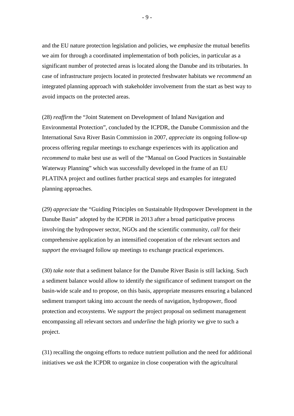and the EU nature protection legislation and policies, we *emphasize* the mutual benefits we aim for through a coordinated implementation of both policies, in particular as a significant number of protected areas is located along the Danube and its tributaries. In case of infrastructure projects located in protected freshwater habitats we *recommend* an integrated planning approach with stakeholder involvement from the start as best way to avoid impacts on the protected areas.

(28) *reaffirm* the "Joint Statement on Development of Inland Navigation and Environmental Protection", concluded by the ICPDR, the Danube Commission and the International Sava River Basin Commission in 2007, *appreciate* its ongoing follow-up process offering regular meetings to exchange experiences with its application and *recommend* to make best use as well of the "Manual on Good Practices in Sustainable Waterway Planning" which was successfully developed in the frame of an EU PLATINA project and outlines further practical steps and examples for integrated planning approaches.

(29) *appreciate* the "Guiding Principles on Sustainable Hydropower Development in the Danube Basin" adopted by the ICPDR in 2013 after a broad participative process involving the hydropower sector, NGOs and the scientific community, *call* for their comprehensive application by an intensified cooperation of the relevant sectors and *support* the envisaged follow up meetings to exchange practical experiences.

(30) *take note* that a sediment balance for the Danube River Basin is still lacking. Such a sediment balance would allow to identify the significance of sediment transport on the basin-wide scale and to propose, on this basis, appropriate measures ensuring a balanced sediment transport taking into account the needs of navigation, hydropower, flood protection and ecosystems. We *support* the project proposal on sediment management encompassing all relevant sectors and *underline* the high priority we give to such a project.

(31) recalling the ongoing efforts to reduce nutrient pollution and the need for additional initiatives we *ask* the ICPDR to organize in close cooperation with the agricultural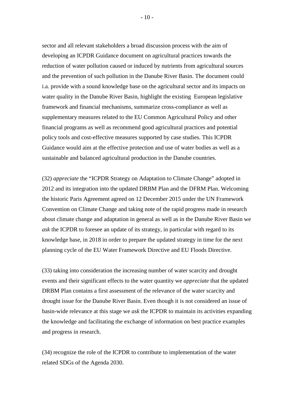sector and all relevant stakeholders a broad discussion process with the aim of developing an ICPDR Guidance document on agricultural practices towards the reduction of water pollution caused or induced by nutrients from agricultural sources and the prevention of such pollution in the Danube River Basin. The document could i.a. provide with a sound knowledge base on the agricultural sector and its impacts on water quality in the Danube River Basin, highlight the existing European legislative framework and financial mechanisms, summarize cross-compliance as well as supplementary measures related to the EU Common Agricultural Policy and other financial programs as well as recommend good agricultural practices and potential policy tools and cost-effective measures supported by case studies. This ICPDR Guidance would aim at the effective protection and use of water bodies as well as a sustainable and balanced agricultural production in the Danube countries.

(32) *appreciate* the "ICPDR Strategy on Adaptation to Climate Change" adopted in 2012 and its integration into the updated DRBM Plan and the DFRM Plan. Welcoming the historic Paris Agreement agreed on 12 December 2015 under the UN Framework Convention on Climate Change and taking note of the rapid progress made in research about climate change and adaptation in general as well as in the Danube River Basin we *ask* the ICPDR to foresee an update of its strategy, in particular with regard to its knowledge base, in 2018 in order to prepare the updated strategy in time for the next planning cycle of the EU Water Framework Directive and EU Floods Directive.

(33) taking into consideration the increasing number of water scarcity and drought events and their significant effects to the water quantity we *appreciate* that the updated DRBM Plan contains a first assessment of the relevance of the water scarcity and drought issue for the Danube River Basin. Even though it is not considered an issue of basin-wide relevance at this stage we *ask* the ICPDR to maintain its activities expanding the knowledge and facilitating the exchange of information on best practice examples and progress in research.

(34) recognize the role of the ICPDR to contribute to implementation of the water related SDGs of the Agenda 2030.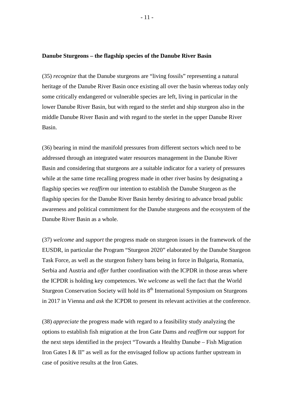#### **Danube Sturgeons – the flagship species of the Danube River Basin**

(35) *recognize* that the Danube sturgeons are "living fossils" representing a natural heritage of the Danube River Basin once existing all over the basin whereas today only some critically endangered or vulnerable species are left, living in particular in the lower Danube River Basin, but with regard to the sterlet and ship sturgeon also in the middle Danube River Basin and with regard to the sterlet in the upper Danube River Basin.

(36) bearing in mind the manifold pressures from different sectors which need to be addressed through an integrated water resources management in the Danube River Basin and considering that sturgeons are a suitable indicator for a variety of pressures while at the same time recalling progress made in other river basins by designating a flagship species we *reaffirm* our intention to establish the Danube Sturgeon as the flagship species for the Danube River Basin hereby desiring to advance broad public awareness and political commitment for the Danube sturgeons and the ecosystem of the Danube River Basin as a whole.

(37) *welcome* and *support* the progress made on sturgeon issues in the framework of the EUSDR, in particular the Program "Sturgeon 2020" elaborated by the Danube Sturgeon Task Force, as well as the sturgeon fishery bans being in force in Bulgaria, Romania, Serbia and Austria and *offer* further coordination with the ICPDR in those areas where the ICPDR is holding key competences. We *welcome* as well the fact that the World Sturgeon Conservation Society will hold its 8<sup>th</sup> International Symposium on Sturgeons in 2017 in Vienna and *ask* the ICPDR to present its relevant activities at the conference.

(38) *appreciate* the progress made with regard to a feasibility study analyzing the options to establish fish migration at the Iron Gate Dams and *reaffirm* our support for the next steps identified in the project "Towards a Healthy Danube – Fish Migration Iron Gates I & II" as well as for the envisaged follow up actions further upstream in case of positive results at the Iron Gates.